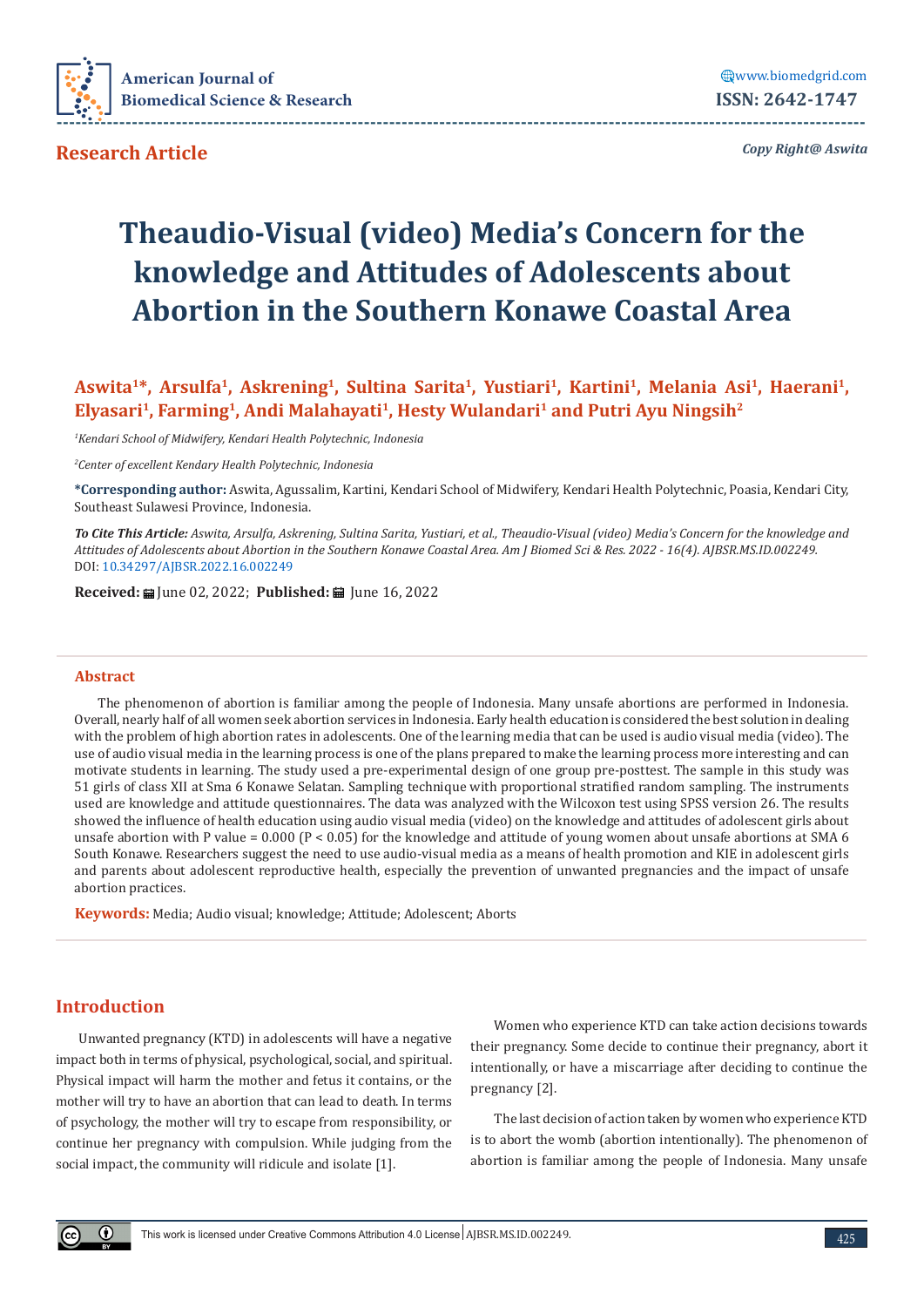

*Copy Right@ Aswita*

# **Theaudio-Visual (video) Media's Concern for the knowledge and Attitudes of Adolescents about Abortion in the Southern Konawe Coastal Area**

Aswita<sup>1\*</sup>, Arsulfa<sup>1</sup>, Askrening<sup>1</sup>, Sultina Sarita<sup>1</sup>, Yustiari<sup>1</sup>, Kartini<sup>1</sup>, Melania Asi<sup>1</sup>, Haerani<sup>1</sup>, **Elyasari1, Farming1, Andi Malahayati1, Hesty Wulandari1 and Putri Ayu Ningsih2**

*1 Kendari School of Midwifery, Kendari Health Polytechnic, Indonesia*

*2 Center of excellent Kendary Health Polytechnic, Indonesia*

**\*Corresponding author:** Aswita, Agussalim, Kartini, Kendari School of Midwifery, Kendari Health Polytechnic, Poasia, Kendari City, Southeast Sulawesi Province, Indonesia.

*To Cite This Article: Aswita, Arsulfa, Askrening, Sultina Sarita, Yustiari, et al., Theaudio-Visual (video) Media's Concern for the knowledge and Attitudes of Adolescents about Abortion in the Southern Konawe Coastal Area. Am J Biomed Sci & Res. 2022 - 16(4). AJBSR.MS.ID.002249.*  DOI: [10.34297/AJBSR.2022.16.002249](http://dx.doi.org/10.34297/AJBSR.2022.16.002249)

**Received:** m [une 02, 2022; **Published:** m [une 16, 2022]

### **Abstract**

The phenomenon of abortion is familiar among the people of Indonesia. Many unsafe abortions are performed in Indonesia. Overall, nearly half of all women seek abortion services in Indonesia. Early health education is considered the best solution in dealing with the problem of high abortion rates in adolescents. One of the learning media that can be used is audio visual media (video). The use of audio visual media in the learning process is one of the plans prepared to make the learning process more interesting and can motivate students in learning. The study used a pre-experimental design of one group pre-posttest. The sample in this study was 51 girls of class XII at Sma 6 Konawe Selatan. Sampling technique with proportional stratified random sampling. The instruments used are knowledge and attitude questionnaires. The data was analyzed with the Wilcoxon test using SPSS version 26. The results showed the influence of health education using audio visual media (video) on the knowledge and attitudes of adolescent girls about unsafe abortion with P value = 0.000 (P < 0.05) for the knowledge and attitude of young women about unsafe abortions at SMA 6 South Konawe. Researchers suggest the need to use audio-visual media as a means of health promotion and KIE in adolescent girls and parents about adolescent reproductive health, especially the prevention of unwanted pregnancies and the impact of unsafe abortion practices.

**Keywords:** Media; Audio visual; knowledge; Attitude; Adolescent; Aborts

## **Introduction**

Unwanted pregnancy (KTD) in adolescents will have a negative impact both in terms of physical, psychological, social, and spiritual. Physical impact will harm the mother and fetus it contains, or the mother will try to have an abortion that can lead to death. In terms of psychology, the mother will try to escape from responsibility, or continue her pregnancy with compulsion. While judging from the social impact, the community will ridicule and isolate [1].

Women who experience KTD can take action decisions towards their pregnancy. Some decide to continue their pregnancy, abort it intentionally, or have a miscarriage after deciding to continue the pregnancy [2].

The last decision of action taken by women who experience KTD is to abort the womb (abortion intentionally). The phenomenon of abortion is familiar among the people of Indonesia. Many unsafe

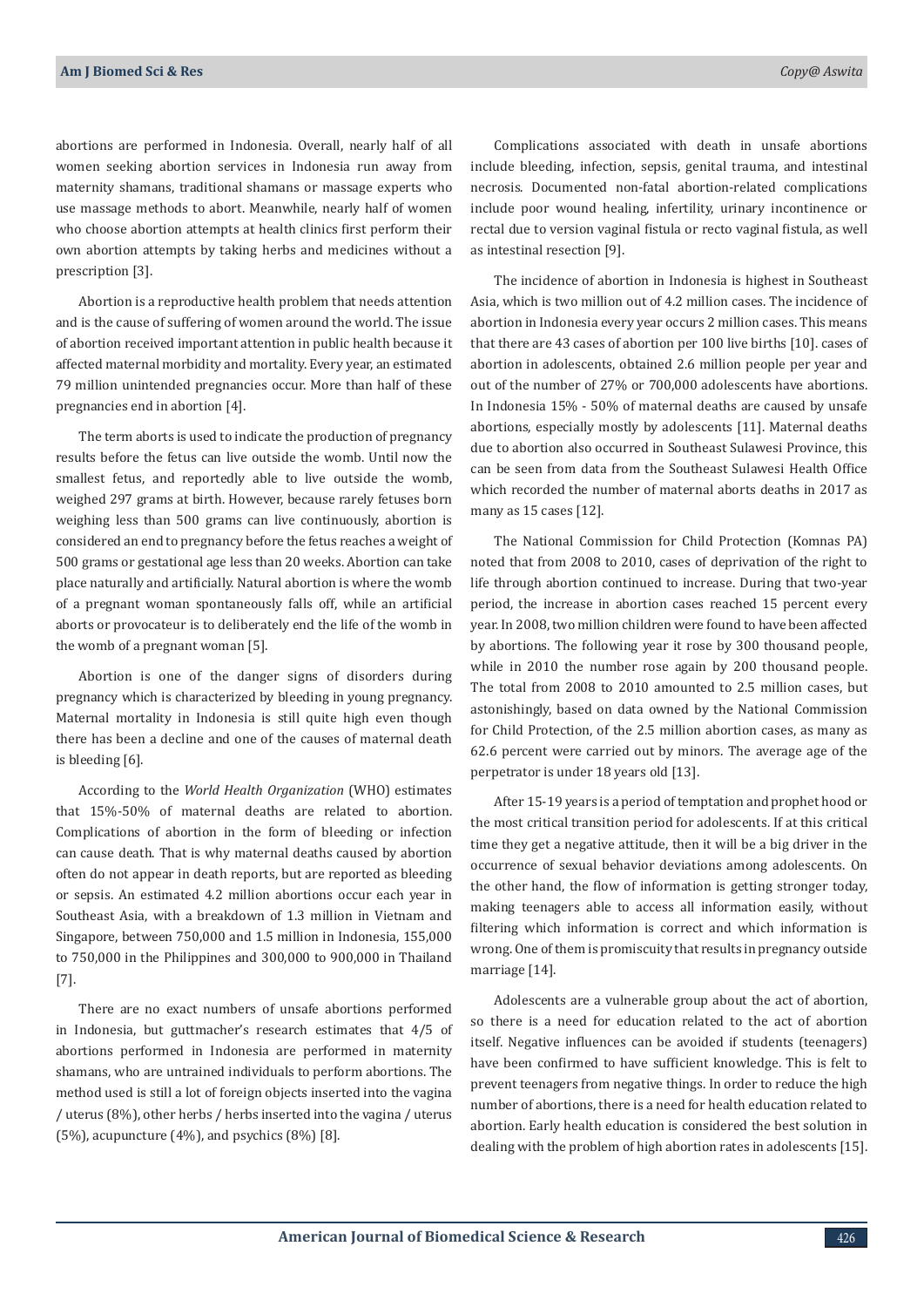abortions are performed in Indonesia. Overall, nearly half of all women seeking abortion services in Indonesia run away from maternity shamans, traditional shamans or massage experts who use massage methods to abort. Meanwhile, nearly half of women who choose abortion attempts at health clinics first perform their own abortion attempts by taking herbs and medicines without a prescription [3].

Abortion is a reproductive health problem that needs attention and is the cause of suffering of women around the world. The issue of abortion received important attention in public health because it affected maternal morbidity and mortality. Every year, an estimated 79 million unintended pregnancies occur. More than half of these pregnancies end in abortion [4].

The term aborts is used to indicate the production of pregnancy results before the fetus can live outside the womb. Until now the smallest fetus, and reportedly able to live outside the womb, weighed 297 grams at birth. However, because rarely fetuses born weighing less than 500 grams can live continuously, abortion is considered an end to pregnancy before the fetus reaches a weight of 500 grams or gestational age less than 20 weeks. Abortion can take place naturally and artificially. Natural abortion is where the womb of a pregnant woman spontaneously falls off, while an artificial aborts or provocateur is to deliberately end the life of the womb in the womb of a pregnant woman [5].

Abortion is one of the danger signs of disorders during pregnancy which is characterized by bleeding in young pregnancy. Maternal mortality in Indonesia is still quite high even though there has been a decline and one of the causes of maternal death is bleeding [6].

According to the *World Health Organization* (WHO) estimates that 15%-50% of maternal deaths are related to abortion. Complications of abortion in the form of bleeding or infection can cause death. That is why maternal deaths caused by abortion often do not appear in death reports, but are reported as bleeding or sepsis. An estimated 4.2 million abortions occur each year in Southeast Asia, with a breakdown of 1.3 million in Vietnam and Singapore, between 750,000 and 1.5 million in Indonesia, 155,000 to 750,000 in the Philippines and 300,000 to 900,000 in Thailand [7].

There are no exact numbers of unsafe abortions performed in Indonesia, but guttmacher's research estimates that 4/5 of abortions performed in Indonesia are performed in maternity shamans, who are untrained individuals to perform abortions. The method used is still a lot of foreign objects inserted into the vagina / uterus (8%), other herbs / herbs inserted into the vagina / uterus (5%), acupuncture  $(4\%)$ , and psychics  $(8\%)$  [8].

Complications associated with death in unsafe abortions include bleeding, infection, sepsis, genital trauma, and intestinal necrosis. Documented non-fatal abortion-related complications include poor wound healing, infertility, urinary incontinence or rectal due to version vaginal fistula or recto vaginal fistula, as well as intestinal resection [9].

The incidence of abortion in Indonesia is highest in Southeast Asia, which is two million out of 4.2 million cases. The incidence of abortion in Indonesia every year occurs 2 million cases. This means that there are 43 cases of abortion per 100 live births [10]. cases of abortion in adolescents, obtained 2.6 million people per year and out of the number of 27% or 700,000 adolescents have abortions. In Indonesia 15% - 50% of maternal deaths are caused by unsafe abortions, especially mostly by adolescents [11]. Maternal deaths due to abortion also occurred in Southeast Sulawesi Province, this can be seen from data from the Southeast Sulawesi Health Office which recorded the number of maternal aborts deaths in 2017 as many as 15 cases [12].

The National Commission for Child Protection (Komnas PA) noted that from 2008 to 2010, cases of deprivation of the right to life through abortion continued to increase. During that two-year period, the increase in abortion cases reached 15 percent every year. In 2008, two million children were found to have been affected by abortions. The following year it rose by 300 thousand people, while in 2010 the number rose again by 200 thousand people. The total from 2008 to 2010 amounted to 2.5 million cases, but astonishingly, based on data owned by the National Commission for Child Protection, of the 2.5 million abortion cases, as many as 62.6 percent were carried out by minors. The average age of the perpetrator is under 18 years old [13].

After 15-19 years is a period of temptation and prophet hood or the most critical transition period for adolescents. If at this critical time they get a negative attitude, then it will be a big driver in the occurrence of sexual behavior deviations among adolescents. On the other hand, the flow of information is getting stronger today, making teenagers able to access all information easily, without filtering which information is correct and which information is wrong. One of them is promiscuity that results in pregnancy outside marriage [14].

Adolescents are a vulnerable group about the act of abortion, so there is a need for education related to the act of abortion itself. Negative influences can be avoided if students (teenagers) have been confirmed to have sufficient knowledge. This is felt to prevent teenagers from negative things. In order to reduce the high number of abortions, there is a need for health education related to abortion. Early health education is considered the best solution in dealing with the problem of high abortion rates in adolescents [15].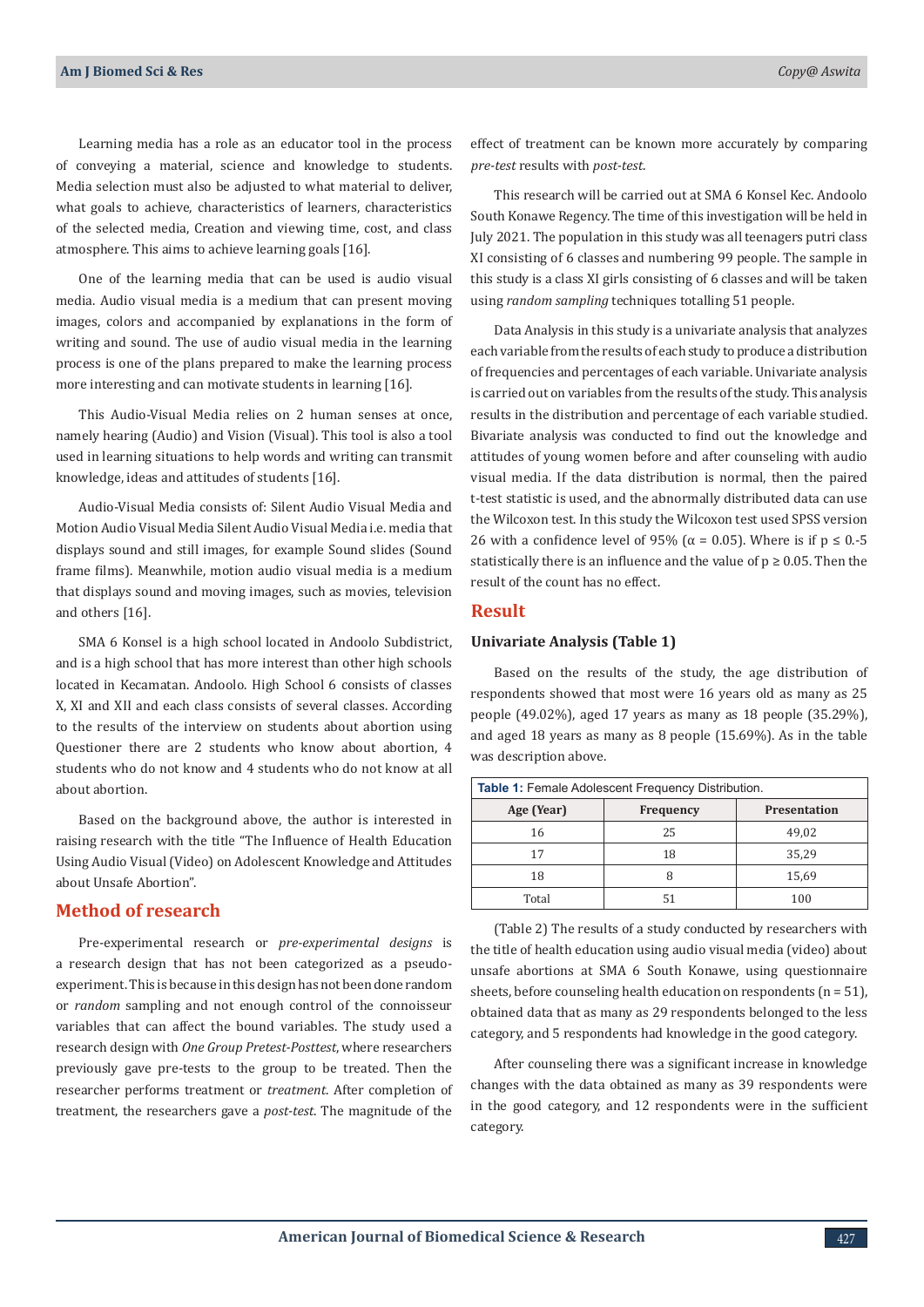Learning media has a role as an educator tool in the process of conveying a material, science and knowledge to students. Media selection must also be adjusted to what material to deliver, what goals to achieve, characteristics of learners, characteristics of the selected media, Creation and viewing time, cost, and class atmosphere. This aims to achieve learning goals [16].

One of the learning media that can be used is audio visual media. Audio visual media is a medium that can present moving images, colors and accompanied by explanations in the form of writing and sound. The use of audio visual media in the learning process is one of the plans prepared to make the learning process more interesting and can motivate students in learning [16].

This Audio-Visual Media relies on 2 human senses at once, namely hearing (Audio) and Vision (Visual). This tool is also a tool used in learning situations to help words and writing can transmit knowledge, ideas and attitudes of students [16].

Audio-Visual Media consists of: Silent Audio Visual Media and Motion Audio Visual Media Silent Audio Visual Media i.e. media that displays sound and still images, for example Sound slides (Sound frame films). Meanwhile, motion audio visual media is a medium that displays sound and moving images, such as movies, television and others [16].

SMA 6 Konsel is a high school located in Andoolo Subdistrict, and is a high school that has more interest than other high schools located in Kecamatan. Andoolo. High School 6 consists of classes X, XI and XII and each class consists of several classes. According to the results of the interview on students about abortion using Questioner there are 2 students who know about abortion, 4 students who do not know and 4 students who do not know at all about abortion.

Based on the background above, the author is interested in raising research with the title "The Influence of Health Education Using Audio Visual (Video) on Adolescent Knowledge and Attitudes about Unsafe Abortion".

## **Method of research**

Pre-experimental research or *pre-experimental designs* is a research design that has not been categorized as a pseudoexperiment. This is because in this design has not been done random or *random* sampling and not enough control of the connoisseur variables that can affect the bound variables. The study used a research design with *One Group Pretest-Posttest*, where researchers previously gave pre-tests to the group to be treated. Then the researcher performs treatment or *treatment*. After completion of treatment, the researchers gave a *post-test*. The magnitude of the effect of treatment can be known more accurately by comparing *pre-test* results with *post-test*.

This research will be carried out at SMA 6 Konsel Kec. Andoolo South Konawe Regency. The time of this investigation will be held in July 2021. The population in this study was all teenagers putri class XI consisting of 6 classes and numbering 99 people. The sample in this study is a class XI girls consisting of 6 classes and will be taken using *random sampling* techniques totalling 51 people.

Data Analysis in this study is a univariate analysis that analyzes each variable from the results of each study to produce a distribution of frequencies and percentages of each variable. Univariate analysis is carried out on variables from the results of the study. This analysis results in the distribution and percentage of each variable studied. Bivariate analysis was conducted to find out the knowledge and attitudes of young women before and after counseling with audio visual media. If the data distribution is normal, then the paired t-test statistic is used, and the abnormally distributed data can use the Wilcoxon test. In this study the Wilcoxon test used SPSS version 26 with a confidence level of 95% ( $\alpha$  = 0.05). Where is if  $p \le 0.5$ statistically there is an influence and the value of  $p \ge 0.05$ . Then the result of the count has no effect.

## **Result**

#### **Univariate Analysis (Table 1)**

Based on the results of the study, the age distribution of respondents showed that most were 16 years old as many as 25 people (49.02%), aged 17 years as many as 18 people (35.29%), and aged 18 years as many as 8 people (15.69%). As in the table was description above.

| <b>Table 1: Female Adolescent Frequency Distribution.</b> |           |                     |  |  |  |
|-----------------------------------------------------------|-----------|---------------------|--|--|--|
| Age (Year)                                                | Frequency | <b>Presentation</b> |  |  |  |
| 16                                                        | 25        | 49,02               |  |  |  |
| 17                                                        | 18        | 35,29               |  |  |  |
| 18                                                        |           | 15,69               |  |  |  |
| Total                                                     |           | 100                 |  |  |  |

(Table 2) The results of a study conducted by researchers with the title of health education using audio visual media (video) about unsafe abortions at SMA 6 South Konawe, using questionnaire sheets, before counseling health education on respondents ( $n = 51$ ), obtained data that as many as 29 respondents belonged to the less category, and 5 respondents had knowledge in the good category.

After counseling there was a significant increase in knowledge changes with the data obtained as many as 39 respondents were in the good category, and 12 respondents were in the sufficient category.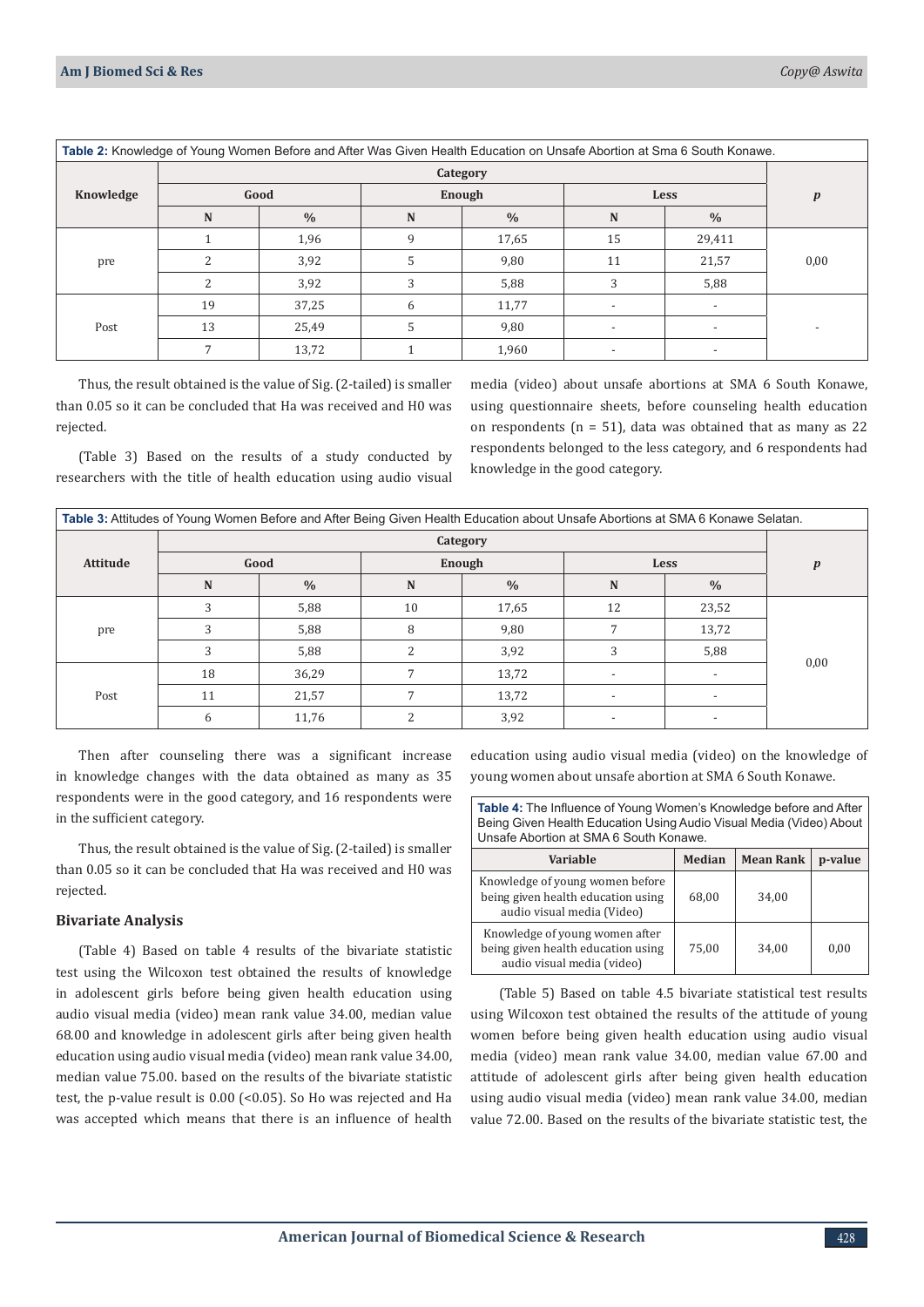rejected.

| Table 2: Knowledge of Young Women Before and After Was Given Health Education on Unsafe Abortion at Sma 6 South Konawe. |          |               |        |               |      |                          |                  |
|-------------------------------------------------------------------------------------------------------------------------|----------|---------------|--------|---------------|------|--------------------------|------------------|
|                                                                                                                         | Category |               |        |               |      |                          |                  |
| Knowledge                                                                                                               | Good     |               | Enough |               | Less |                          | $\boldsymbol{p}$ |
|                                                                                                                         | N        | $\frac{0}{0}$ | N      | $\frac{0}{0}$ | N    | $\frac{0}{0}$            |                  |
| pre                                                                                                                     |          | 1,96          | 9      | 17,65         | 15   | 29,411                   |                  |
|                                                                                                                         |          | 3,92          | 5      | 9,80          | 11   | 21,57                    | 0,00             |
|                                                                                                                         |          | 3,92          | 3      | 5,88          | 3    | 5,88                     |                  |
|                                                                                                                         | 19       | 37,25         | 6      | 11,77         |      | $\overline{\phantom{a}}$ |                  |
| Post                                                                                                                    | 13       | 25,49         | .5     | 9,80          |      | $\overline{a}$           |                  |
|                                                                                                                         |          | 13,72         |        | 1,960         |      |                          |                  |

Thus, the result obtained is the value of Sig. (2-tailed) is smaller than 0.05 so it can be concluded that Ha was received and H0 was

(Table 3) Based on the results of a study conducted by researchers with the title of health education using audio visual media (video) about unsafe abortions at SMA 6 South Konawe, using questionnaire sheets, before counseling health education on respondents ( $n = 51$ ), data was obtained that as many as 22 respondents belonged to the less category, and 6 respondents had knowledge in the good category.

| Table 3: Attitudes of Young Women Before and After Being Given Health Education about Unsafe Abortions at SMA 6 Konawe Selatan. |      |               |        |               |                          |                          |                  |  |
|---------------------------------------------------------------------------------------------------------------------------------|------|---------------|--------|---------------|--------------------------|--------------------------|------------------|--|
|                                                                                                                                 |      | Category      |        |               |                          |                          |                  |  |
| <b>Attitude</b>                                                                                                                 | Good |               | Enough |               | Less                     |                          | $\boldsymbol{p}$ |  |
|                                                                                                                                 | N    | $\frac{0}{0}$ | N      | $\frac{0}{0}$ | N                        | $\frac{0}{0}$            |                  |  |
| pre                                                                                                                             | 3    | 5,88          | 10     | 17,65         | 12                       | 23,52                    |                  |  |
|                                                                                                                                 |      | 5,88          | 8      | 9,80          |                          | 13,72                    |                  |  |
|                                                                                                                                 | 3    | 5,88          |        | 3,92          |                          | 5,88                     | 0,00             |  |
|                                                                                                                                 | 18   | 36,29         |        | 13,72         | $\overline{\phantom{a}}$ | $\overline{\phantom{a}}$ |                  |  |
| Post                                                                                                                            | 11   | 21,57         | 7      | 13,72         |                          |                          |                  |  |
|                                                                                                                                 | 6    | 11,76         |        | 3,92          |                          |                          |                  |  |

Then after counseling there was a significant increase in knowledge changes with the data obtained as many as 35 respondents were in the good category, and 16 respondents were in the sufficient category.

Thus, the result obtained is the value of Sig. (2-tailed) is smaller than 0.05 so it can be concluded that Ha was received and H0 was rejected.

#### **Bivariate Analysis**

(Table 4) Based on table 4 results of the bivariate statistic test using the Wilcoxon test obtained the results of knowledge in adolescent girls before being given health education using audio visual media (video) mean rank value 34.00, median value 68.00 and knowledge in adolescent girls after being given health education using audio visual media (video) mean rank value 34.00, median value 75.00. based on the results of the bivariate statistic test, the p-value result is 0.00 (<0.05). So Ho was rejected and Ha was accepted which means that there is an influence of health

education using audio visual media (video) on the knowledge of young women about unsafe abortion at SMA 6 South Konawe.

| <b>Table 4:</b> The Influence of Young Women's Knowledge before and After<br>Being Given Health Education Using Audio Visual Media (Video) About<br>Unsafe Abortion at SMA 6 South Konawe. |        |                  |         |  |  |
|--------------------------------------------------------------------------------------------------------------------------------------------------------------------------------------------|--------|------------------|---------|--|--|
| Variable                                                                                                                                                                                   | Median | <b>Mean Rank</b> | p-value |  |  |
| Knowledge of young women before<br>being given health education using<br>audio visual media (Video)                                                                                        | 68,00  | 34.00            |         |  |  |
| Knowledge of young women after<br>being given health education using<br>audio visual media (video)                                                                                         | 75.00  | 34.00            | 0.00    |  |  |

 (Table 5) Based on table 4.5 bivariate statistical test results using Wilcoxon test obtained the results of the attitude of young women before being given health education using audio visual media (video) mean rank value 34.00, median value 67.00 and attitude of adolescent girls after being given health education using audio visual media (video) mean rank value 34.00, median value 72.00. Based on the results of the bivariate statistic test, the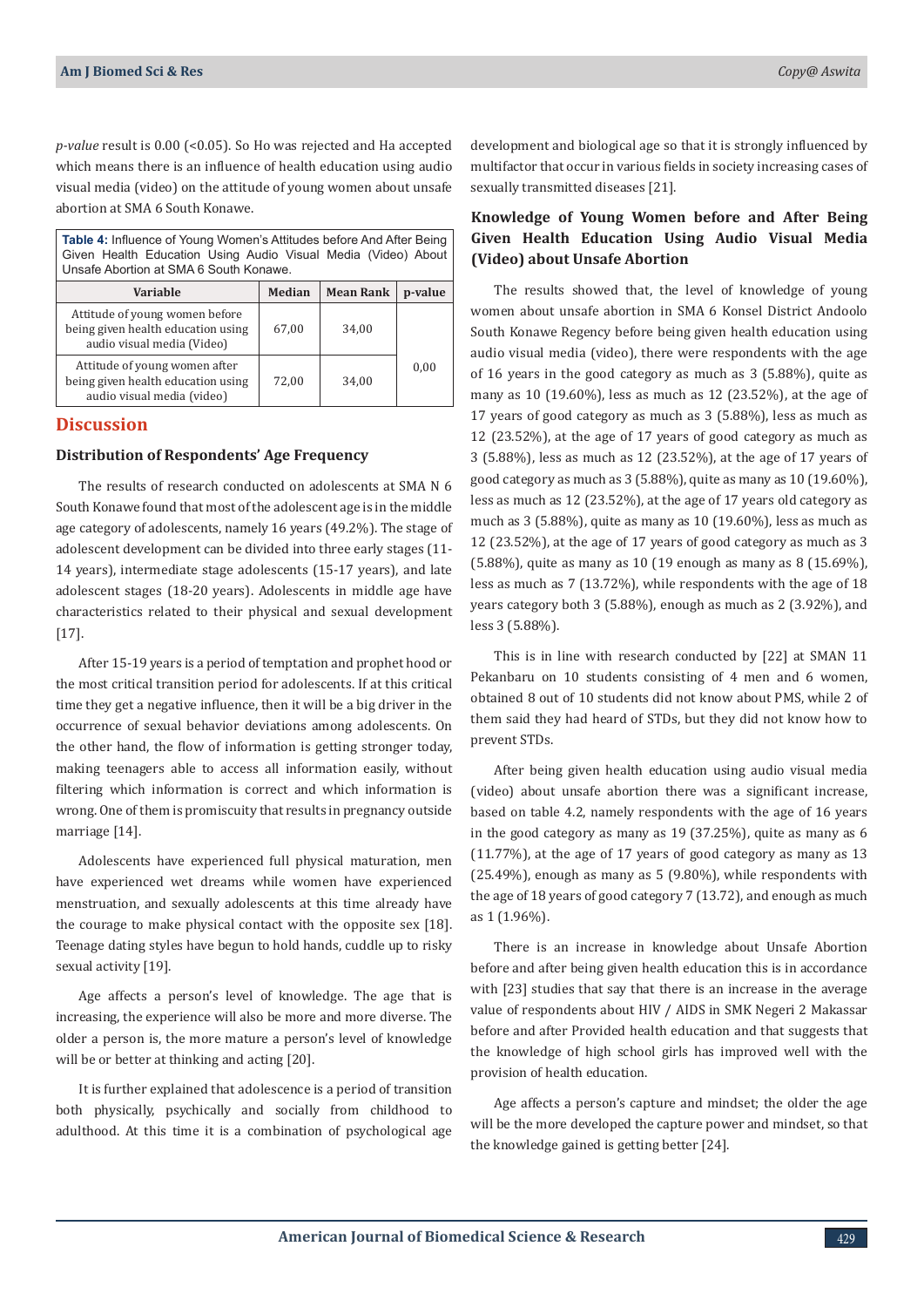*p-value* result is 0.00 (<0.05). So Ho was rejected and Ha accepted which means there is an influence of health education using audio visual media (video) on the attitude of young women about unsafe abortion at SMA 6 South Konawe.

**Table 4:** Influence of Young Women's Attitudes before And After Being Given Health Education Using Audio Visual Media (Video) About Unsafe Abortion at SMA 6 South Konawe.

| Variable                                                                                           | Median | <b>Mean Rank</b> | p-value |
|----------------------------------------------------------------------------------------------------|--------|------------------|---------|
| Attitude of young women before<br>being given health education using<br>audio visual media (Video) | 67,00  | 34.00            |         |
| Attitude of young women after<br>being given health education using<br>audio visual media (video)  | 72.00  | 34.00            | 0,00    |

## **Discussion**

#### **Distribution of Respondents' Age Frequency**

The results of research conducted on adolescents at SMA N 6 South Konawe found that most of the adolescent age is in the middle age category of adolescents, namely 16 years (49.2%). The stage of adolescent development can be divided into three early stages (11- 14 years), intermediate stage adolescents (15-17 years), and late adolescent stages (18-20 years). Adolescents in middle age have characteristics related to their physical and sexual development [17].

After 15-19 years is a period of temptation and prophet hood or the most critical transition period for adolescents. If at this critical time they get a negative influence, then it will be a big driver in the occurrence of sexual behavior deviations among adolescents. On the other hand, the flow of information is getting stronger today, making teenagers able to access all information easily, without filtering which information is correct and which information is wrong. One of them is promiscuity that results in pregnancy outside marriage [14].

Adolescents have experienced full physical maturation, men have experienced wet dreams while women have experienced menstruation, and sexually adolescents at this time already have the courage to make physical contact with the opposite sex [18]. Teenage dating styles have begun to hold hands, cuddle up to risky sexual activity [19].

Age affects a person's level of knowledge. The age that is increasing, the experience will also be more and more diverse. The older a person is, the more mature a person's level of knowledge will be or better at thinking and acting [20].

It is further explained that adolescence is a period of transition both physically, psychically and socially from childhood to adulthood. At this time it is a combination of psychological age

development and biological age so that it is strongly influenced by multifactor that occur in various fields in society increasing cases of sexually transmitted diseases [21].

## **Knowledge of Young Women before and After Being Given Health Education Using Audio Visual Media (Video) about Unsafe Abortion**

The results showed that, the level of knowledge of young women about unsafe abortion in SMA 6 Konsel District Andoolo South Konawe Regency before being given health education using audio visual media (video), there were respondents with the age of 16 years in the good category as much as 3 (5.88%), quite as many as 10 (19.60%), less as much as 12 (23.52%), at the age of 17 years of good category as much as 3 (5.88%), less as much as 12 (23.52%), at the age of 17 years of good category as much as 3 (5.88%), less as much as 12 (23.52%), at the age of 17 years of good category as much as 3 (5.88%), quite as many as 10 (19.60%), less as much as 12 (23.52%), at the age of 17 years old category as much as 3 (5.88%), quite as many as 10 (19.60%), less as much as 12 (23.52%), at the age of 17 years of good category as much as 3 (5.88%), quite as many as 10 (19 enough as many as 8 (15.69%), less as much as 7 (13.72%), while respondents with the age of 18 years category both 3 (5.88%), enough as much as 2 (3.92%), and less 3 (5.88%).

This is in line with research conducted by [22] at SMAN 11 Pekanbaru on 10 students consisting of 4 men and 6 women, obtained 8 out of 10 students did not know about PMS, while 2 of them said they had heard of STDs, but they did not know how to prevent STDs.

After being given health education using audio visual media (video) about unsafe abortion there was a significant increase, based on table 4.2, namely respondents with the age of 16 years in the good category as many as 19 (37.25%), quite as many as 6 (11.77%), at the age of 17 years of good category as many as 13 (25.49%), enough as many as 5 (9.80%), while respondents with the age of 18 years of good category 7 (13.72), and enough as much as 1 (1.96%).

There is an increase in knowledge about Unsafe Abortion before and after being given health education this is in accordance with [23] studies that say that there is an increase in the average value of respondents about HIV / AIDS in SMK Negeri 2 Makassar before and after Provided health education and that suggests that the knowledge of high school girls has improved well with the provision of health education.

Age affects a person's capture and mindset; the older the age will be the more developed the capture power and mindset, so that the knowledge gained is getting better [24].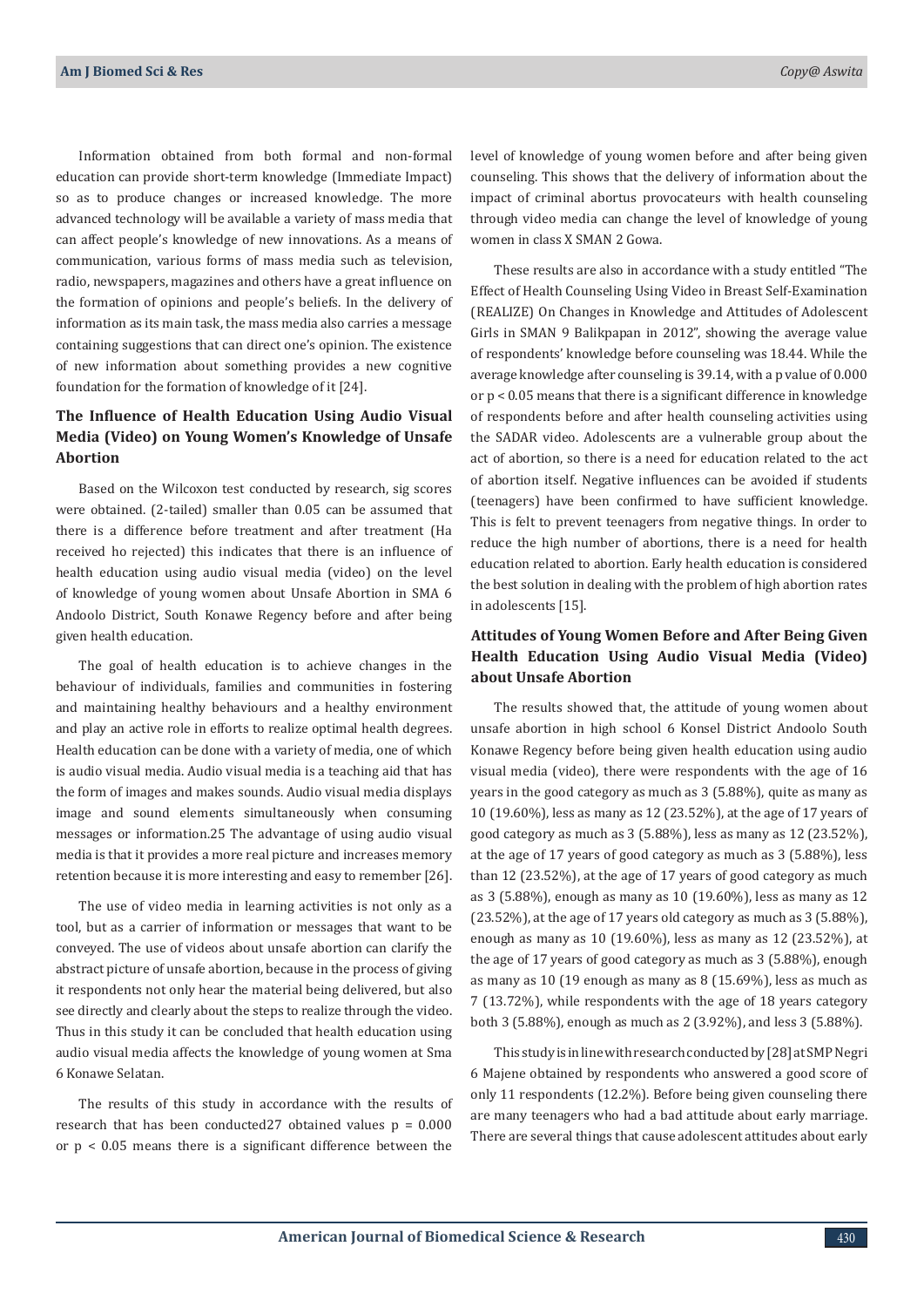Information obtained from both formal and non-formal education can provide short-term knowledge (Immediate Impact) so as to produce changes or increased knowledge. The more advanced technology will be available a variety of mass media that can affect people's knowledge of new innovations. As a means of communication, various forms of mass media such as television, radio, newspapers, magazines and others have a great influence on the formation of opinions and people's beliefs. In the delivery of information as its main task, the mass media also carries a message containing suggestions that can direct one's opinion. The existence of new information about something provides a new cognitive foundation for the formation of knowledge of it [24].

## **The Influence of Health Education Using Audio Visual Media (Video) on Young Women's Knowledge of Unsafe Abortion**

Based on the Wilcoxon test conducted by research, sig scores were obtained. (2-tailed) smaller than 0.05 can be assumed that there is a difference before treatment and after treatment (Ha received ho rejected) this indicates that there is an influence of health education using audio visual media (video) on the level of knowledge of young women about Unsafe Abortion in SMA 6 Andoolo District, South Konawe Regency before and after being given health education.

The goal of health education is to achieve changes in the behaviour of individuals, families and communities in fostering and maintaining healthy behaviours and a healthy environment and play an active role in efforts to realize optimal health degrees. Health education can be done with a variety of media, one of which is audio visual media. Audio visual media is a teaching aid that has the form of images and makes sounds. Audio visual media displays image and sound elements simultaneously when consuming messages or information.25 The advantage of using audio visual media is that it provides a more real picture and increases memory retention because it is more interesting and easy to remember [26].

The use of video media in learning activities is not only as a tool, but as a carrier of information or messages that want to be conveyed. The use of videos about unsafe abortion can clarify the abstract picture of unsafe abortion, because in the process of giving it respondents not only hear the material being delivered, but also see directly and clearly about the steps to realize through the video. Thus in this study it can be concluded that health education using audio visual media affects the knowledge of young women at Sma 6 Konawe Selatan.

The results of this study in accordance with the results of research that has been conducted 27 obtained values  $p = 0.000$ or p < 0.05 means there is a significant difference between the

level of knowledge of young women before and after being given counseling. This shows that the delivery of information about the impact of criminal abortus provocateurs with health counseling through video media can change the level of knowledge of young women in class X SMAN 2 Gowa.

These results are also in accordance with a study entitled "The Effect of Health Counseling Using Video in Breast Self-Examination (REALIZE) On Changes in Knowledge and Attitudes of Adolescent Girls in SMAN 9 Balikpapan in 2012", showing the average value of respondents' knowledge before counseling was 18.44. While the average knowledge after counseling is 39.14, with a p value of 0.000 or p < 0.05 means that there is a significant difference in knowledge of respondents before and after health counseling activities using the SADAR video. Adolescents are a vulnerable group about the act of abortion, so there is a need for education related to the act of abortion itself. Negative influences can be avoided if students (teenagers) have been confirmed to have sufficient knowledge. This is felt to prevent teenagers from negative things. In order to reduce the high number of abortions, there is a need for health education related to abortion. Early health education is considered the best solution in dealing with the problem of high abortion rates in adolescents [15].

## **Attitudes of Young Women Before and After Being Given Health Education Using Audio Visual Media (Video) about Unsafe Abortion**

The results showed that, the attitude of young women about unsafe abortion in high school 6 Konsel District Andoolo South Konawe Regency before being given health education using audio visual media (video), there were respondents with the age of 16 years in the good category as much as 3 (5.88%), quite as many as 10 (19.60%), less as many as 12 (23.52%), at the age of 17 years of good category as much as 3 (5.88%), less as many as 12 (23.52%), at the age of 17 years of good category as much as 3 (5.88%), less than 12 (23.52%), at the age of 17 years of good category as much as 3 (5.88%), enough as many as 10 (19.60%), less as many as 12 (23.52%), at the age of 17 years old category as much as 3 (5.88%), enough as many as 10 (19.60%), less as many as 12 (23.52%), at the age of 17 years of good category as much as 3 (5.88%), enough as many as 10 (19 enough as many as 8 (15.69%), less as much as 7 (13.72%), while respondents with the age of 18 years category both 3 (5.88%), enough as much as 2 (3.92%), and less 3 (5.88%).

This study is in line with research conducted by [28] at SMP Negri 6 Majene obtained by respondents who answered a good score of only 11 respondents (12.2%). Before being given counseling there are many teenagers who had a bad attitude about early marriage. There are several things that cause adolescent attitudes about early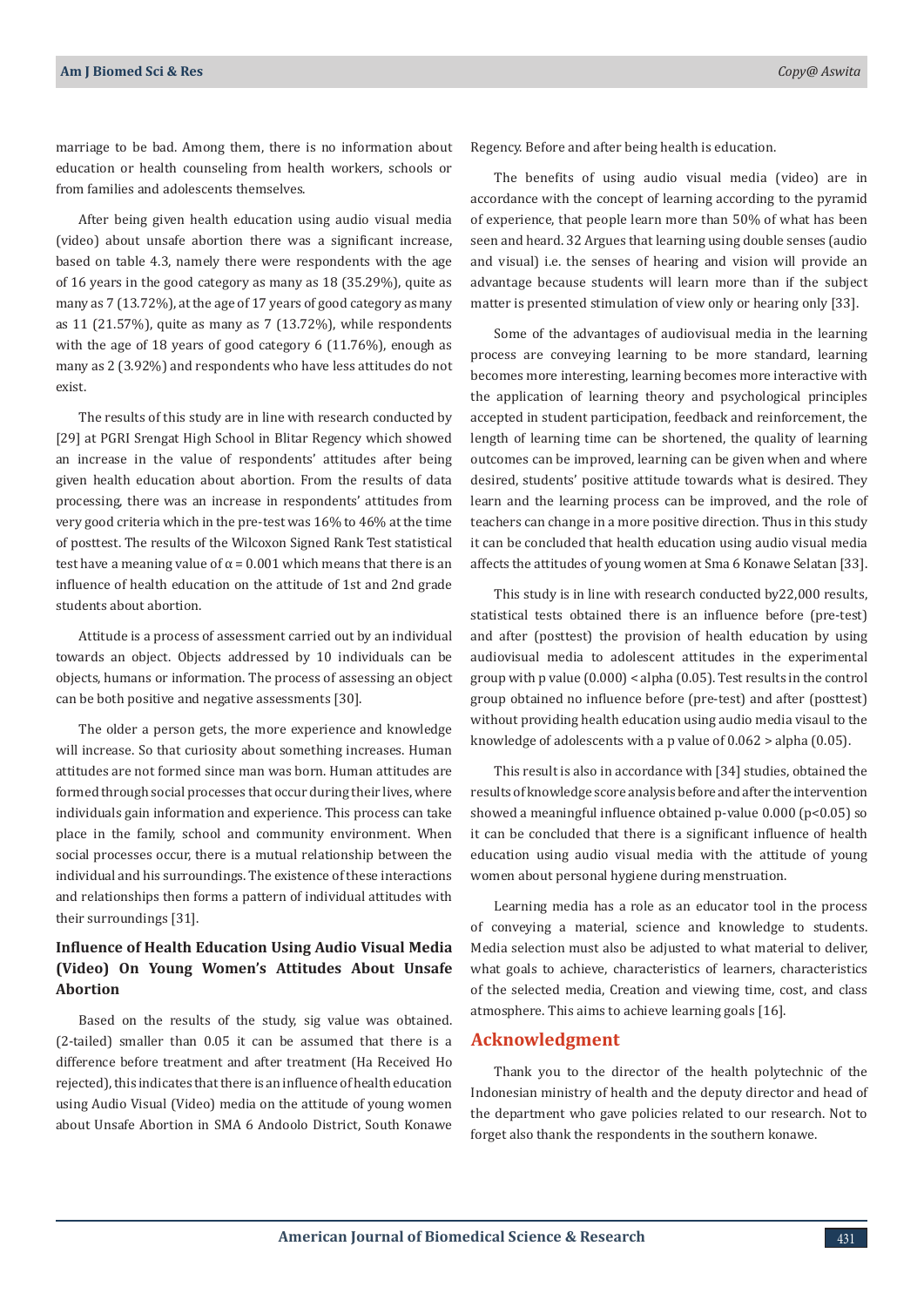marriage to be bad. Among them, there is no information about education or health counseling from health workers, schools or from families and adolescents themselves.

After being given health education using audio visual media (video) about unsafe abortion there was a significant increase, based on table 4.3, namely there were respondents with the age of 16 years in the good category as many as 18 (35.29%), quite as many as 7 (13.72%), at the age of 17 years of good category as many as 11 (21.57%), quite as many as 7 (13.72%), while respondents with the age of 18 years of good category 6 (11.76%), enough as many as 2 (3.92%) and respondents who have less attitudes do not exist.

The results of this study are in line with research conducted by [29] at PGRI Srengat High School in Blitar Regency which showed an increase in the value of respondents' attitudes after being given health education about abortion. From the results of data processing, there was an increase in respondents' attitudes from very good criteria which in the pre-test was 16% to 46% at the time of posttest. The results of the Wilcoxon Signed Rank Test statistical test have a meaning value of  $\alpha$  = 0.001 which means that there is an influence of health education on the attitude of 1st and 2nd grade students about abortion.

Attitude is a process of assessment carried out by an individual towards an object. Objects addressed by 10 individuals can be objects, humans or information. The process of assessing an object can be both positive and negative assessments [30].

The older a person gets, the more experience and knowledge will increase. So that curiosity about something increases. Human attitudes are not formed since man was born. Human attitudes are formed through social processes that occur during their lives, where individuals gain information and experience. This process can take place in the family, school and community environment. When social processes occur, there is a mutual relationship between the individual and his surroundings. The existence of these interactions and relationships then forms a pattern of individual attitudes with their surroundings [31].

## **Influence of Health Education Using Audio Visual Media (Video) On Young Women's Attitudes About Unsafe Abortion**

Based on the results of the study, sig value was obtained. (2-tailed) smaller than 0.05 it can be assumed that there is a difference before treatment and after treatment (Ha Received Ho rejected), this indicates that there is an influence of health education using Audio Visual (Video) media on the attitude of young women about Unsafe Abortion in SMA 6 Andoolo District, South Konawe

Regency. Before and after being health is education.

The benefits of using audio visual media (video) are in accordance with the concept of learning according to the pyramid of experience, that people learn more than 50% of what has been seen and heard. 32 Argues that learning using double senses (audio and visual) i.e. the senses of hearing and vision will provide an advantage because students will learn more than if the subject matter is presented stimulation of view only or hearing only [33].

Some of the advantages of audiovisual media in the learning process are conveying learning to be more standard, learning becomes more interesting, learning becomes more interactive with the application of learning theory and psychological principles accepted in student participation, feedback and reinforcement, the length of learning time can be shortened, the quality of learning outcomes can be improved, learning can be given when and where desired, students' positive attitude towards what is desired. They learn and the learning process can be improved, and the role of teachers can change in a more positive direction. Thus in this study it can be concluded that health education using audio visual media affects the attitudes of young women at Sma 6 Konawe Selatan [33].

This study is in line with research conducted by22,000 results, statistical tests obtained there is an influence before (pre-test) and after (posttest) the provision of health education by using audiovisual media to adolescent attitudes in the experimental group with p value (0.000) < alpha (0.05). Test results in the control group obtained no influence before (pre-test) and after (posttest) without providing health education using audio media visaul to the knowledge of adolescents with a p value of 0.062 > alpha (0.05).

This result is also in accordance with [34] studies, obtained the results of knowledge score analysis before and after the intervention showed a meaningful influence obtained p-value 0.000 (p<0.05) so it can be concluded that there is a significant influence of health education using audio visual media with the attitude of young women about personal hygiene during menstruation.

Learning media has a role as an educator tool in the process of conveying a material, science and knowledge to students. Media selection must also be adjusted to what material to deliver, what goals to achieve, characteristics of learners, characteristics of the selected media, Creation and viewing time, cost, and class atmosphere. This aims to achieve learning goals [16].

#### **Acknowledgment**

Thank you to the director of the health polytechnic of the Indonesian ministry of health and the deputy director and head of the department who gave policies related to our research. Not to forget also thank the respondents in the southern konawe.